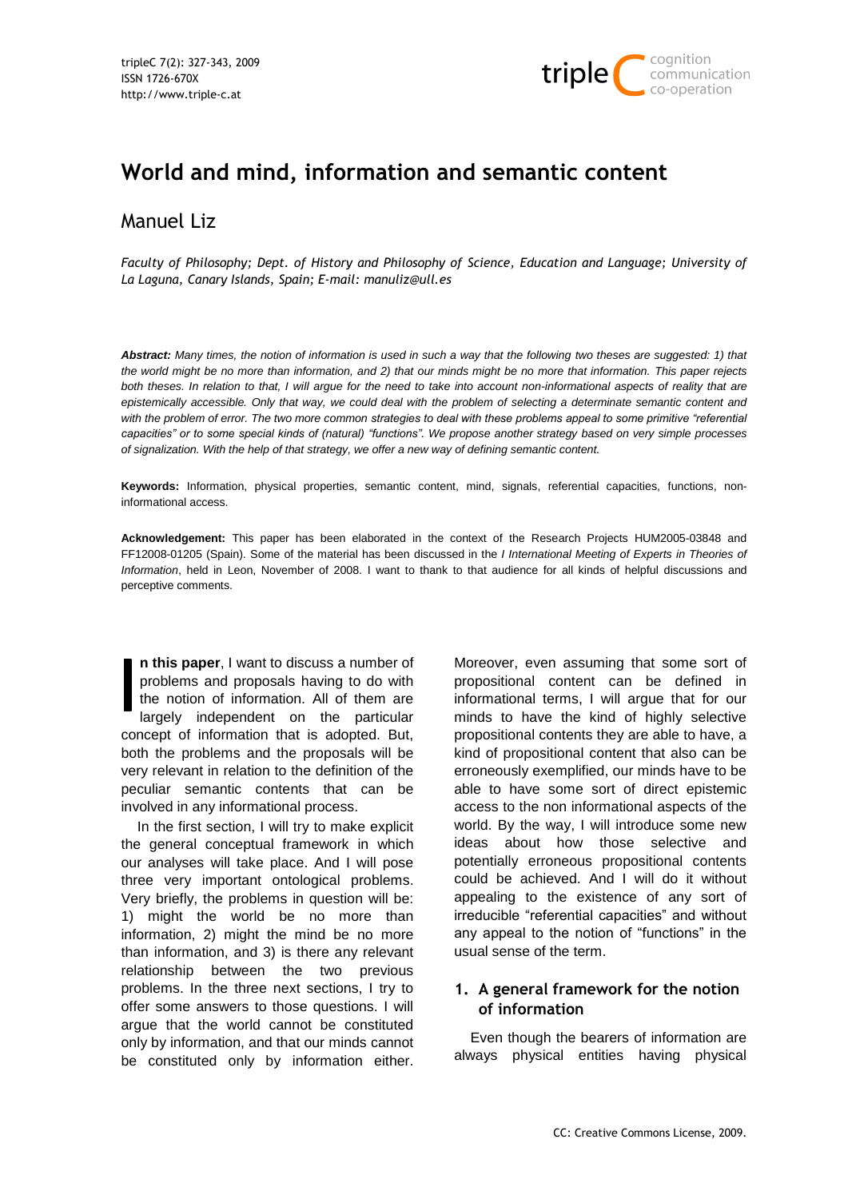

# **World and mind, information and semantic content**

## Manuel Liz

*Faculty of Philosophy; Dept. of History and Philosophy of Science, Education and Language; University of La Laguna, Canary Islands, Spain; E-mail: manuliz@ull.es*

*Abstract: Many times, the notion of information is used in such a way that the following two theses are suggested: 1) that the world might be no more than information, and 2) that our minds might be no more that information. This paper rejects both theses. In relation to that, I will argue for the need to take into account non-informational aspects of reality that are epistemically accessible. Only that way, we could deal with the problem of selecting a determinate semantic content and*  with the problem of error. The two more common strategies to deal with these problems appeal to some primitive "referential *capacities" or to some special kinds of (natural) "functions". We propose another strategy based on very simple processes of signalization. With the help of that strategy, we offer a new way of defining semantic content.*

**Keywords:** Information, physical properties, semantic content, mind, signals, referential capacities, functions, noninformational access.

**Acknowledgement:** This paper has been elaborated in the context of the Research Projects HUM2005-03848 and FF12008-01205 (Spain). Some of the material has been discussed in the *I International Meeting of Experts in Theories of Information*, held in Leon, November of 2008. I want to thank to that audience for all kinds of helpful discussions and perceptive comments.

**n this paper**, I want to discuss a number of problems and proposals having to do with the notion of information. All of them are largely independent on the particular concept of information that is adopted. But, both the problems and the proposals will be very relevant in relation to the definition of the peculiar semantic contents that can be involved in any informational process.

In the first section, I will try to make explicit the general conceptual framework in which our analyses will take place. And I will pose three very important ontological problems. Very briefly, the problems in question will be: 1) might the world be no more than information, 2) might the mind be no more than information, and 3) is there any relevant relationship between the two previous problems. In the three next sections, I try to offer some answers to those questions. I will argue that the world cannot be constituted only by information, and that our minds cannot be constituted only by information either.

Moreover, even assuming that some sort of propositional content can be defined in informational terms, I will argue that for our minds to have the kind of highly selective propositional contents they are able to have, a kind of propositional content that also can be erroneously exemplified, our minds have to be able to have some sort of direct epistemic access to the non informational aspects of the world. By the way, I will introduce some new ideas about how those selective and potentially erroneous propositional contents could be achieved. And I will do it without appealing to the existence of any sort of irreducible "referential capacities" and without any appeal to the notion of "functions" in the usual sense of the term.

## **1. A general framework for the notion of information**

Even though the bearers of information are always physical entities having physical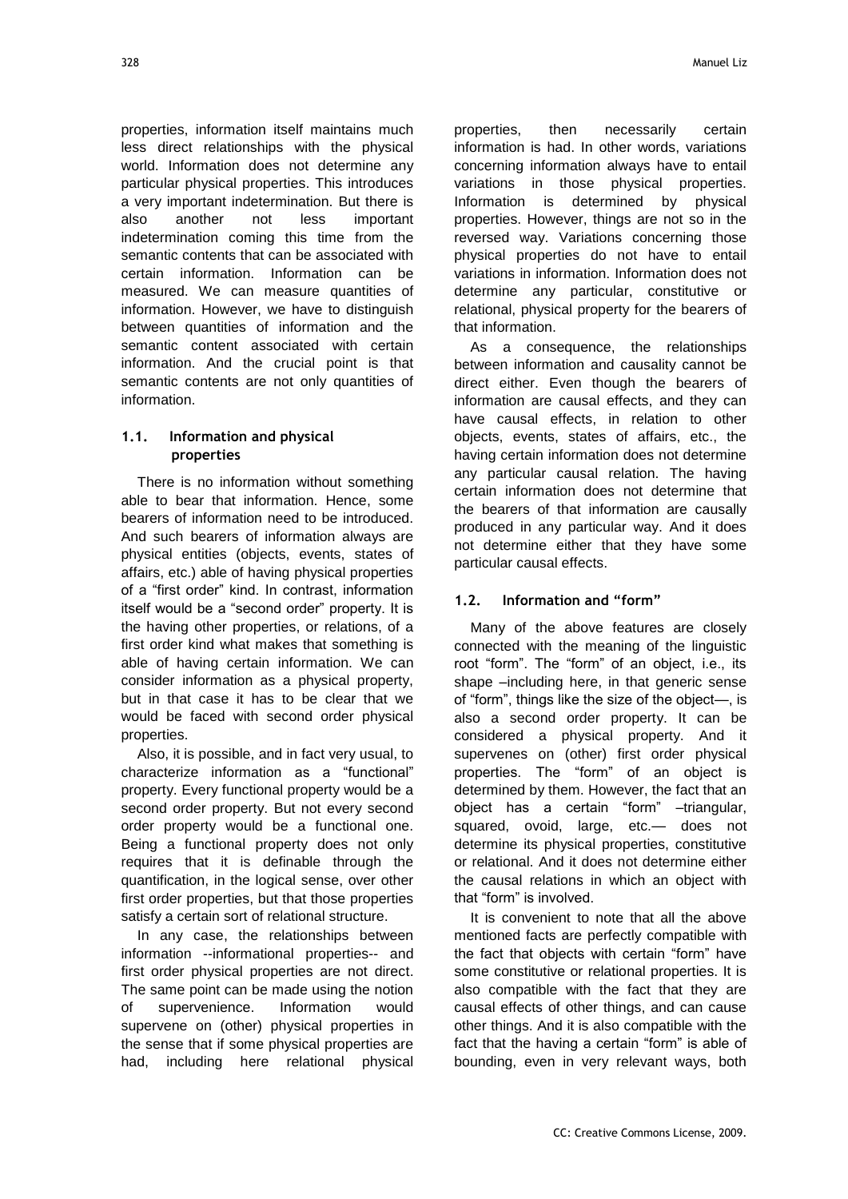properties, information itself maintains much less direct relationships with the physical world. Information does not determine any particular physical properties. This introduces a very important indetermination. But there is also another not less important indetermination coming this time from the semantic contents that can be associated with certain information. Information can be measured. We can measure quantities of information. However, we have to distinguish between quantities of information and the semantic content associated with certain information. And the crucial point is that semantic contents are not only quantities of information.

## **1.1. Information and physical properties**

There is no information without something able to bear that information. Hence, some bearers of information need to be introduced. And such bearers of information always are physical entities (objects, events, states of affairs, etc.) able of having physical properties of a "first order" kind. In contrast, information itself would be a "second order" property. It is the having other properties, or relations, of a first order kind what makes that something is able of having certain information. We can consider information as a physical property, but in that case it has to be clear that we would be faced with second order physical properties.

Also, it is possible, and in fact very usual, to characterize information as a "functional" property. Every functional property would be a second order property. But not every second order property would be a functional one. Being a functional property does not only requires that it is definable through the quantification, in the logical sense, over other first order properties, but that those properties satisfy a certain sort of relational structure.

In any case, the relationships between information --informational properties-- and first order physical properties are not direct. The same point can be made using the notion of supervenience. Information would supervene on (other) physical properties in the sense that if some physical properties are had, including here relational physical

properties, then necessarily certain information is had. In other words, variations concerning information always have to entail variations in those physical properties. Information is determined by physical properties. However, things are not so in the reversed way. Variations concerning those physical properties do not have to entail variations in information. Information does not determine any particular, constitutive or relational, physical property for the bearers of that information.

As a consequence, the relationships between information and causality cannot be direct either. Even though the bearers of information are causal effects, and they can have causal effects, in relation to other objects, events, states of affairs, etc., the having certain information does not determine any particular causal relation. The having certain information does not determine that the bearers of that information are causally produced in any particular way. And it does not determine either that they have some particular causal effects.

## **1.2. Information and "form"**

Many of the above features are closely connected with the meaning of the linguistic root "form". The "form" of an object, i.e., its shape –including here, in that generic sense of "form", things like the size of the object—, is also a second order property. It can be considered a physical property. And it supervenes on (other) first order physical properties. The "form" of an object is determined by them. However, the fact that an object has a certain "form" -triangular, squared, ovoid, large, etc.— does not determine its physical properties, constitutive or relational. And it does not determine either the causal relations in which an object with that "form" is involved.

It is convenient to note that all the above mentioned facts are perfectly compatible with the fact that objects with certain "form" have some constitutive or relational properties. It is also compatible with the fact that they are causal effects of other things, and can cause other things. And it is also compatible with the fact that the having a certain "form" is able of bounding, even in very relevant ways, both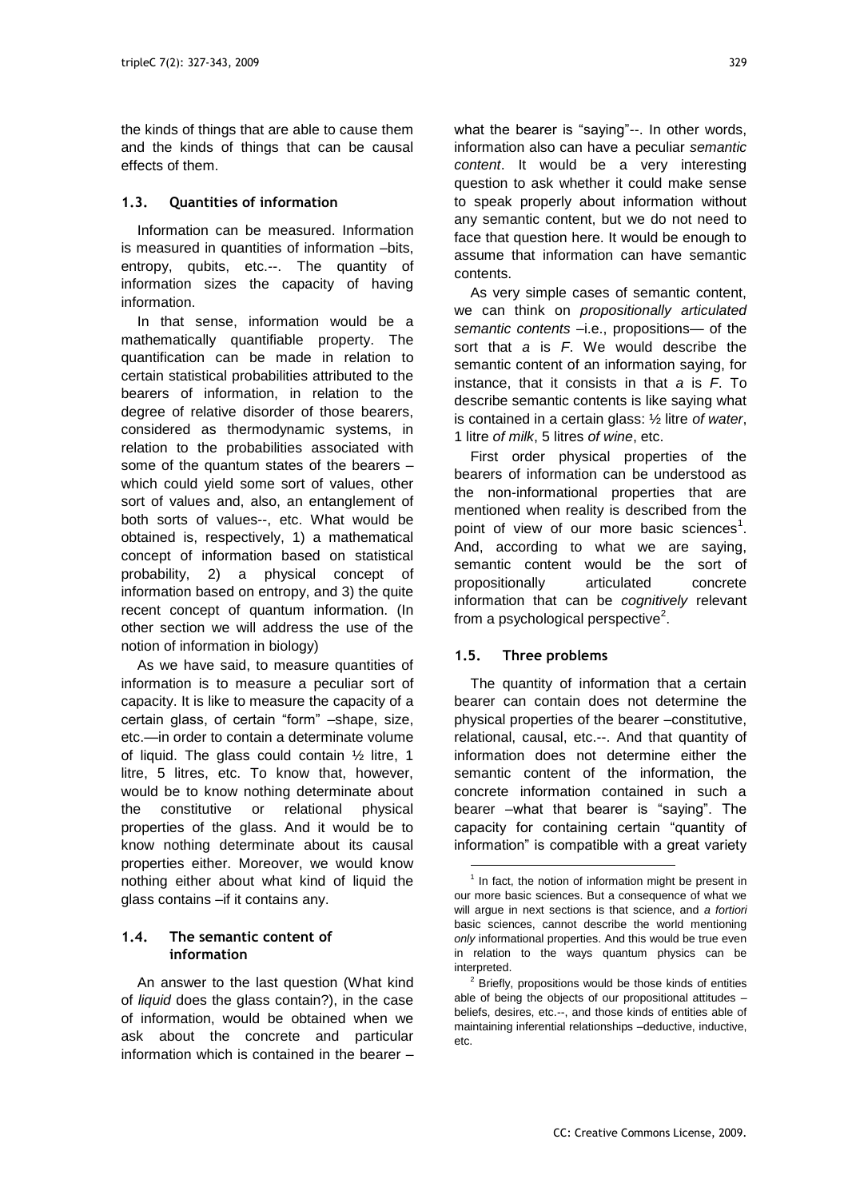the kinds of things that are able to cause them and the kinds of things that can be causal effects of them.

#### **1.3. Quantities of information**

Information can be measured. Information is measured in quantities of information –bits, entropy, qubits, etc.--. The quantity of information sizes the capacity of having information.

In that sense, information would be a mathematically quantifiable property. The quantification can be made in relation to certain statistical probabilities attributed to the bearers of information, in relation to the degree of relative disorder of those bearers, considered as thermodynamic systems, in relation to the probabilities associated with some of the quantum states of the bearers – which could yield some sort of values, other sort of values and, also, an entanglement of both sorts of values--, etc. What would be obtained is, respectively, 1) a mathematical concept of information based on statistical probability, 2) a physical concept of information based on entropy, and 3) the quite recent concept of quantum information. (In other section we will address the use of the notion of information in biology)

As we have said, to measure quantities of information is to measure a peculiar sort of capacity. It is like to measure the capacity of a certain glass, of certain "form" -shape, size, etc.—in order to contain a determinate volume of liquid. The glass could contain ½ litre, 1 litre, 5 litres, etc. To know that, however, would be to know nothing determinate about the constitutive or relational physical properties of the glass. And it would be to know nothing determinate about its causal properties either. Moreover, we would know nothing either about what kind of liquid the glass contains –if it contains any.

## **1.4. The semantic content of information**

An answer to the last question (What kind of *liquid* does the glass contain?), in the case of information, would be obtained when we ask about the concrete and particular information which is contained in the bearer –

what the bearer is "saying"--. In other words, information also can have a peculiar *semantic content*. It would be a very interesting question to ask whether it could make sense to speak properly about information without any semantic content, but we do not need to face that question here. It would be enough to assume that information can have semantic contents.

As very simple cases of semantic content, we can think on *propositionally articulated semantic contents* –i.e., propositions— of the sort that *a* is *F*. We would describe the semantic content of an information saying, for instance, that it consists in that *a* is *F*. To describe semantic contents is like saying what is contained in a certain glass: ½ litre *of water*, 1 litre *of milk*, 5 litres *of wine*, etc.

First order physical properties of the bearers of information can be understood as the non-informational properties that are mentioned when reality is described from the point of view of our more basic sciences<sup>1</sup>. And, according to what we are saying, semantic content would be the sort of propositionally articulated concrete information that can be *cognitively* relevant from a psychological perspective $2$ .

## **1.5. Three problems**

 $\overline{a}$ 

The quantity of information that a certain bearer can contain does not determine the physical properties of the bearer –constitutive, relational, causal, etc.--. And that quantity of information does not determine either the semantic content of the information, the concrete information contained in such a bearer –what that bearer is "saying". The capacity for containing certain "quantity of information" is compatible with a great variety

<sup>&</sup>lt;sup>1</sup> In fact, the notion of information might be present in our more basic sciences. But a consequence of what we will argue in next sections is that science, and *a fortiori* basic sciences, cannot describe the world mentioning *only* informational properties. And this would be true even in relation to the ways quantum physics can be interpreted.

 $2$  Briefly, propositions would be those kinds of entities able of being the objects of our propositional attitudes – beliefs, desires, etc.--, and those kinds of entities able of maintaining inferential relationships –deductive, inductive, etc.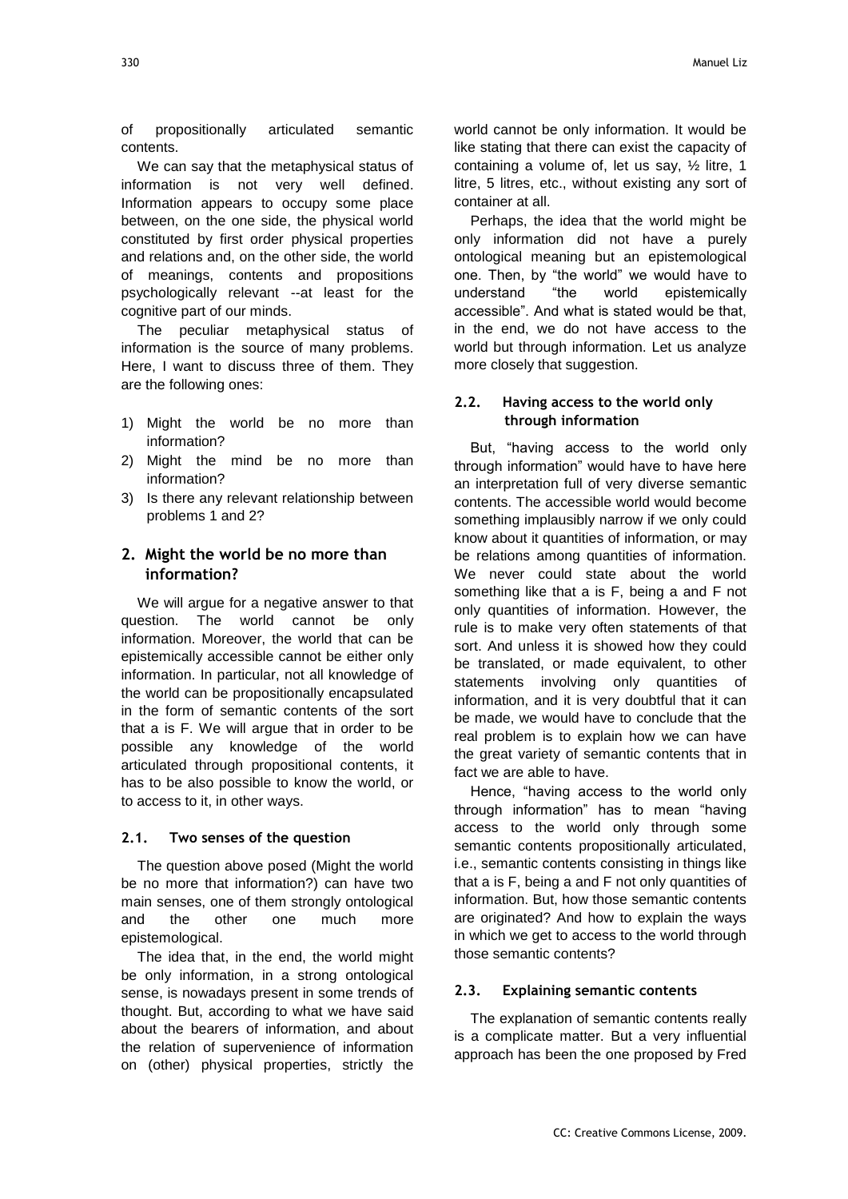of propositionally articulated semantic contents.

We can say that the metaphysical status of information is not very well defined. Information appears to occupy some place between, on the one side, the physical world constituted by first order physical properties and relations and, on the other side, the world of meanings, contents and propositions psychologically relevant --at least for the cognitive part of our minds.

The peculiar metaphysical status of information is the source of many problems. Here, I want to discuss three of them. They are the following ones:

- 1) Might the world be no more than information?
- 2) Might the mind be no more than information?
- 3) Is there any relevant relationship between problems 1 and 2?

## **2. Might the world be no more than information?**

We will argue for a negative answer to that question. The world cannot be only information. Moreover, the world that can be epistemically accessible cannot be either only information. In particular, not all knowledge of the world can be propositionally encapsulated in the form of semantic contents of the sort that a is F. We will argue that in order to be possible any knowledge of the world articulated through propositional contents, it has to be also possible to know the world, or to access to it, in other ways.

#### **2.1. Two senses of the question**

The question above posed (Might the world be no more that information?) can have two main senses, one of them strongly ontological and the other one much more epistemological.

The idea that, in the end, the world might be only information, in a strong ontological sense, is nowadays present in some trends of thought. But, according to what we have said about the bearers of information, and about the relation of supervenience of information on (other) physical properties, strictly the

world cannot be only information. It would be like stating that there can exist the capacity of containing a volume of, let us say, ½ litre, 1 litre, 5 litres, etc., without existing any sort of container at all.

Perhaps, the idea that the world might be only information did not have a purely ontological meaning but an epistemological one. Then, by "the world" we would have to understand "the world epistemically accessible". And what is stated would be that, in the end, we do not have access to the world but through information. Let us analyze more closely that suggestion.

#### **2.2. Having access to the world only through information**

But, "having access to the world only through information" would have to have here an interpretation full of very diverse semantic contents. The accessible world would become something implausibly narrow if we only could know about it quantities of information, or may be relations among quantities of information. We never could state about the world something like that a is F, being a and F not only quantities of information. However, the rule is to make very often statements of that sort. And unless it is showed how they could be translated, or made equivalent, to other statements involving only quantities of information, and it is very doubtful that it can be made, we would have to conclude that the real problem is to explain how we can have the great variety of semantic contents that in fact we are able to have.

Hence, "having access to the world only through information" has to mean "having access to the world only through some semantic contents propositionally articulated, i.e., semantic contents consisting in things like that a is F, being a and F not only quantities of information. But, how those semantic contents are originated? And how to explain the ways in which we get to access to the world through those semantic contents?

#### **2.3. Explaining semantic contents**

The explanation of semantic contents really is a complicate matter. But a very influential approach has been the one proposed by Fred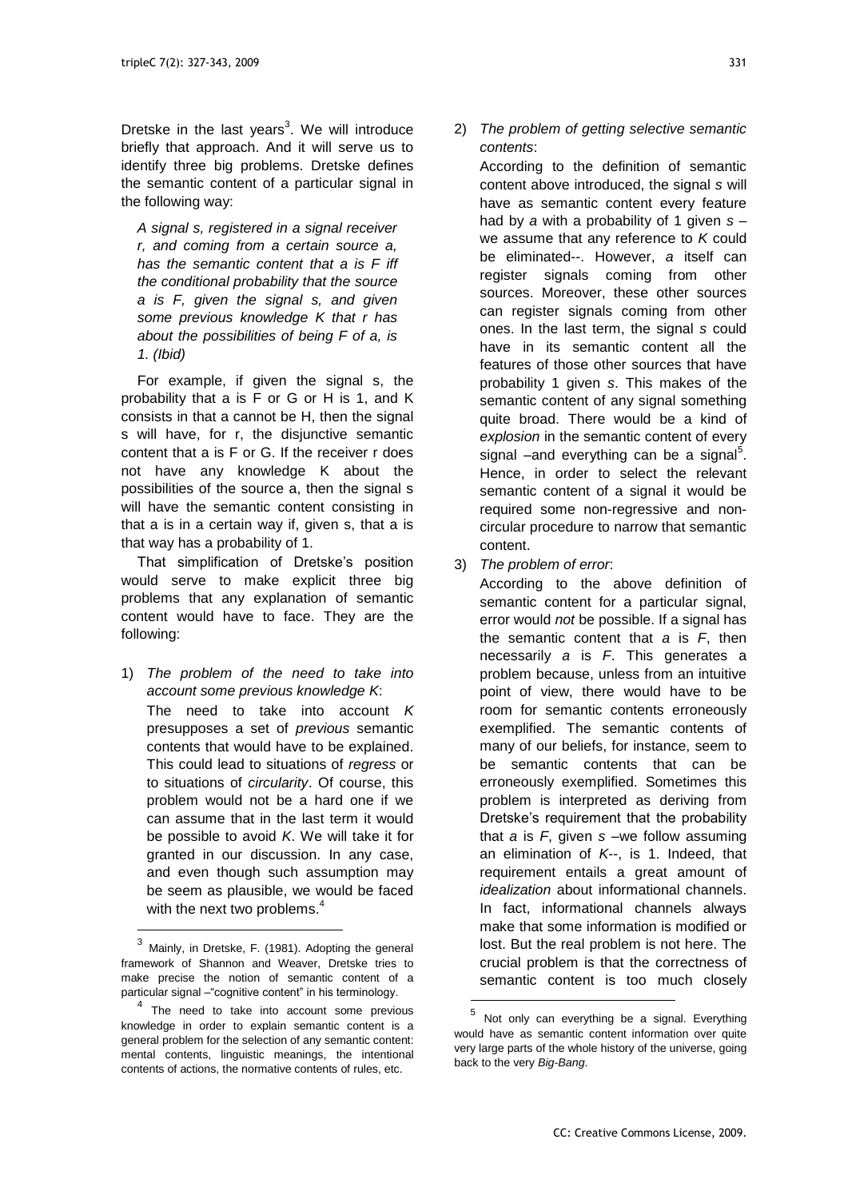Dretske in the last years<sup>3</sup>. We will introduce briefly that approach. And it will serve us to identify three big problems. Dretske defines the semantic content of a particular signal in the following way:

*A signal s, registered in a signal receiver r, and coming from a certain source a, has the semantic content that a is F iff the conditional probability that the source a is F, given the signal s, and given some previous knowledge K that r has about the possibilities of being F of a, is 1. (Ibid)*

For example, if given the signal s, the probability that a is F or G or H is 1, and K consists in that a cannot be H, then the signal s will have, for r, the disjunctive semantic content that a is F or G. If the receiver r does not have any knowledge K about the possibilities of the source a, then the signal s will have the semantic content consisting in that a is in a certain way if, given s, that a is that way has a probability of 1.

That simplification of Dretske's position would serve to make explicit three big problems that any explanation of semantic content would have to face. They are the following:

1) *The problem of the need to take into account some previous knowledge K*: The need to take into account *K* presupposes a set of *previous* semantic contents that would have to be explained. This could lead to situations of *regress* or to situations of *circularity*. Of course, this problem would not be a hard one if we can assume that in the last term it would be possible to avoid *K*. We will take it for granted in our discussion. In any case, and even though such assumption may be seem as plausible, we would be faced with the next two problems.<sup>4</sup>

l

2) *The problem of getting selective semantic contents*:

According to the definition of semantic content above introduced, the signal *s* will have as semantic content every feature had by *a* with a probability of 1 given *s* – we assume that any reference to *K* could be eliminated--. However, *a* itself can register signals coming from other sources. Moreover, these other sources can register signals coming from other ones. In the last term, the signal *s* could have in its semantic content all the features of those other sources that have probability 1 given *s*. This makes of the semantic content of any signal something quite broad. There would be a kind of *explosion* in the semantic content of every signal  $-$ and everything can be a signal $5$ . Hence, in order to select the relevant semantic content of a signal it would be required some non-regressive and noncircular procedure to narrow that semantic content.

3) *The problem of error*:

According to the above definition of semantic content for a particular signal. error would *not* be possible. If a signal has the semantic content that *a* is *F*, then necessarily *a* is *F*. This generates a problem because, unless from an intuitive point of view, there would have to be room for semantic contents erroneously exemplified. The semantic contents of many of our beliefs, for instance, seem to be semantic contents that can be erroneously exemplified. Sometimes this problem is interpreted as deriving from Dretske's requirement that the probability that *a* is *F*, given *s* –we follow assuming an elimination of *K*--, is 1. Indeed, that requirement entails a great amount of *idealization* about informational channels. In fact, informational channels always make that some information is modified or lost. But the real problem is not here. The crucial problem is that the correctness of semantic content is too much closely

-

<sup>3</sup> Mainly, in Dretske, F. (1981). Adopting the general framework of Shannon and Weaver, Dretske tries to make precise the notion of semantic content of a particular signal – "cognitive content" in his terminology.

<sup>&</sup>lt;sup>4</sup> The need to take into account some previous knowledge in order to explain semantic content is a general problem for the selection of any semantic content: mental contents, linguistic meanings, the intentional contents of actions, the normative contents of rules, etc.

<sup>5</sup> Not only can everything be a signal. Everything would have as semantic content information over quite very large parts of the whole history of the universe, going back to the very *Big-Bang*.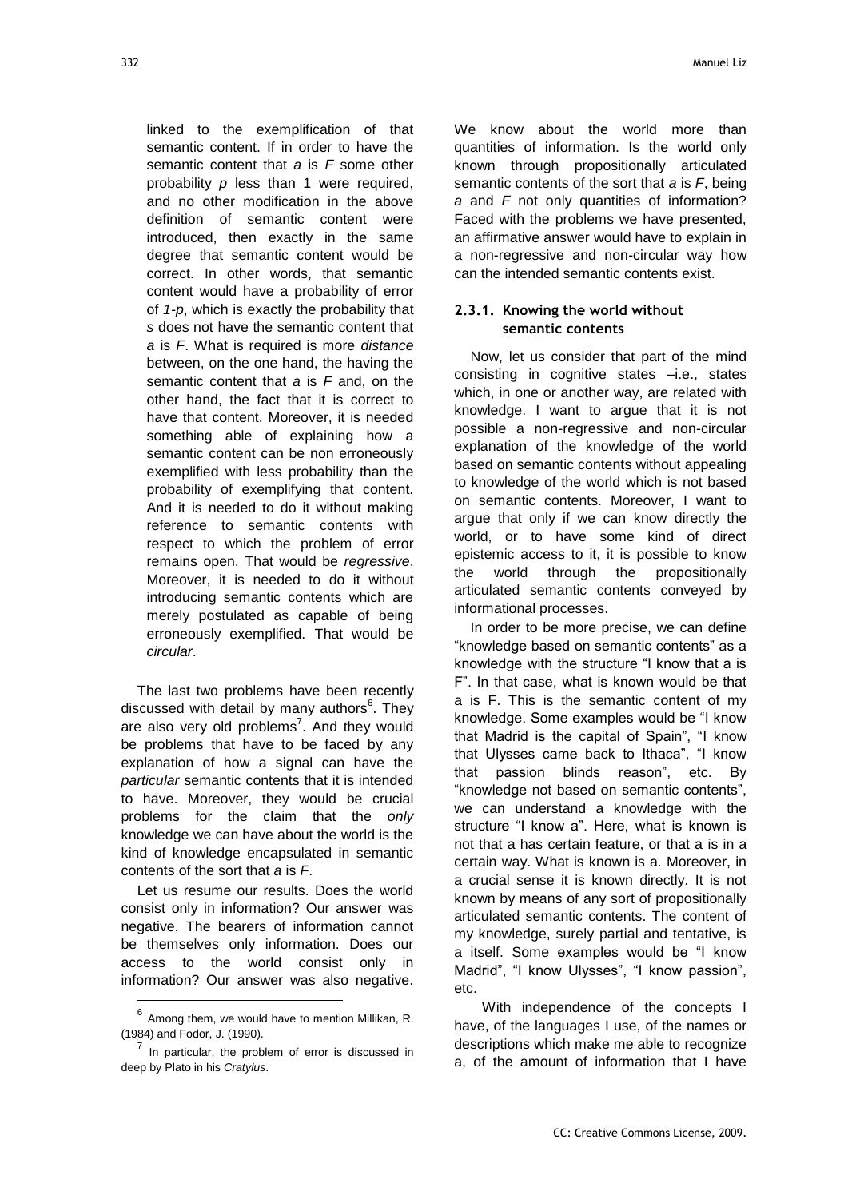linked to the exemplification of that semantic content. If in order to have the semantic content that *a* is *F* some other probability *p* less than 1 were required, and no other modification in the above definition of semantic content were introduced, then exactly in the same degree that semantic content would be correct. In other words, that semantic content would have a probability of error of *1-p*, which is exactly the probability that *s* does not have the semantic content that *a* is *F*. What is required is more *distance* between, on the one hand, the having the semantic content that *a* is *F* and, on the other hand, the fact that it is correct to have that content. Moreover, it is needed something able of explaining how a semantic content can be non erroneously exemplified with less probability than the probability of exemplifying that content. And it is needed to do it without making reference to semantic contents with respect to which the problem of error remains open. That would be *regressive*. Moreover, it is needed to do it without introducing semantic contents which are merely postulated as capable of being erroneously exemplified. That would be *circular*.

The last two problems have been recently discussed with detail by many authors<sup>6</sup>. They are also very old problems<sup>7</sup>. And they would be problems that have to be faced by any explanation of how a signal can have the *particular* semantic contents that it is intended to have. Moreover, they would be crucial problems for the claim that the *only* knowledge we can have about the world is the kind of knowledge encapsulated in semantic contents of the sort that *a* is *F*.

Let us resume our results. Does the world consist only in information? Our answer was negative. The bearers of information cannot be themselves only information. Does our access to the world consist only in information? Our answer was also negative.

l

We know about the world more than quantities of information. Is the world only known through propositionally articulated semantic contents of the sort that *a* is *F*, being *a* and *F* not only quantities of information? Faced with the problems we have presented, an affirmative answer would have to explain in a non-regressive and non-circular way how can the intended semantic contents exist.

#### **2.3.1. Knowing the world without semantic contents**

Now, let us consider that part of the mind consisting in cognitive states –i.e., states which, in one or another way, are related with knowledge. I want to argue that it is not possible a non-regressive and non-circular explanation of the knowledge of the world based on semantic contents without appealing to knowledge of the world which is not based on semantic contents. Moreover, I want to argue that only if we can know directly the world, or to have some kind of direct epistemic access to it, it is possible to know the world through the propositionally articulated semantic contents conveyed by informational processes.

In order to be more precise, we can define "knowledge based on semantic contents" as a knowledge with the structure "I know that a is F". In that case, what is known would be that a is F. This is the semantic content of my knowledge. Some examples would be "I know that Madrid is the capital of Spain", "I know that Ulysses came back to Ithaca", "I know that passion blinds reason", etc. By "knowledge not based on semantic contents", we can understand a knowledge with the structure "I know a". Here, what is known is not that a has certain feature, or that a is in a certain way. What is known is a. Moreover, in a crucial sense it is known directly. It is not known by means of any sort of propositionally articulated semantic contents. The content of my knowledge, surely partial and tentative, is a itself. Some examples would be "I know Madrid", "I know Ulysses", "I know passion", etc.

 With independence of the concepts I have, of the languages I use, of the names or descriptions which make me able to recognize a, of the amount of information that I have

 $^6$  Among them, we would have to mention Millikan, R. (1984) and Fodor, J. (1990).

 $<sup>7</sup>$  In particular, the problem of error is discussed in</sup> deep by Plato in his *Cratylus*.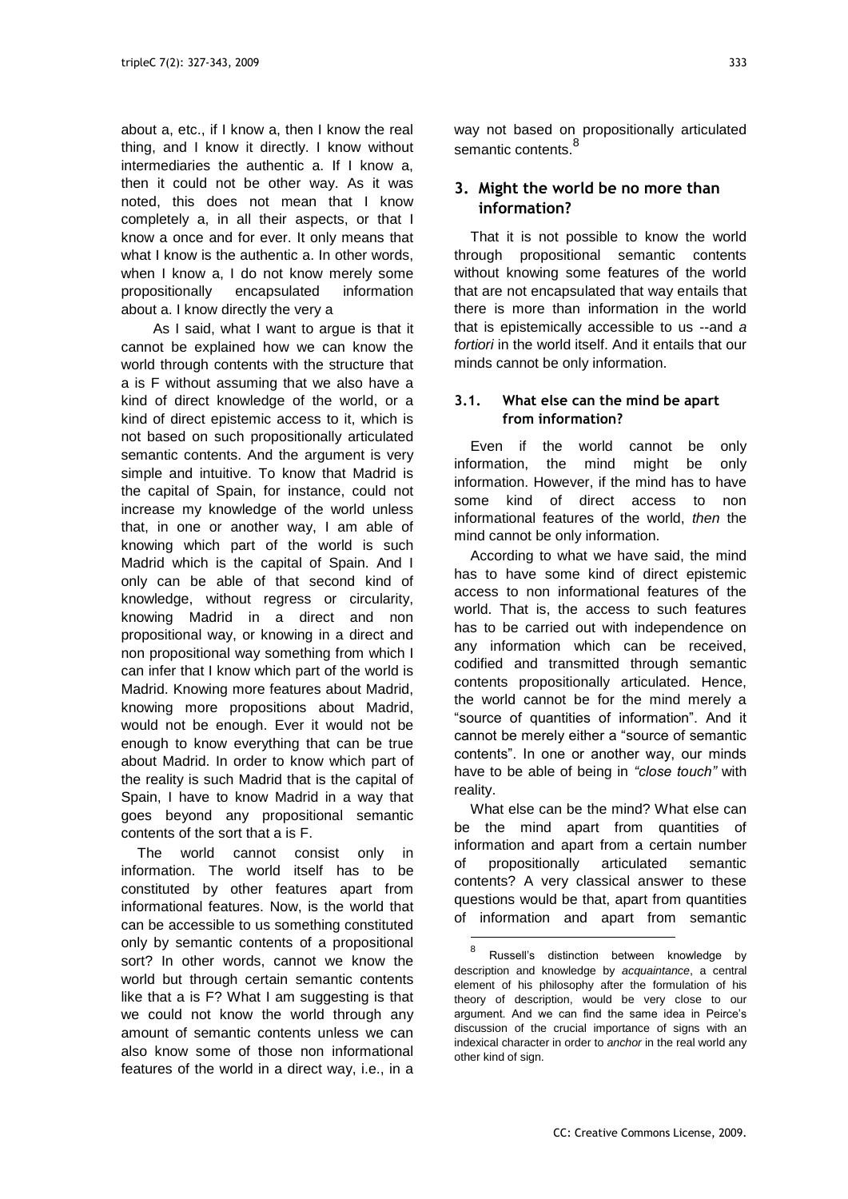about a, etc., if I know a, then I know the real thing, and I know it directly. I know without intermediaries the authentic a. If I know a, then it could not be other way. As it was noted, this does not mean that I know completely a, in all their aspects, or that I know a once and for ever. It only means that what I know is the authentic a. In other words, when I know a, I do not know merely some propositionally encapsulated information about a. I know directly the very a

 As I said, what I want to argue is that it cannot be explained how we can know the world through contents with the structure that a is F without assuming that we also have a kind of direct knowledge of the world, or a kind of direct epistemic access to it, which is not based on such propositionally articulated semantic contents. And the argument is very simple and intuitive. To know that Madrid is the capital of Spain, for instance, could not increase my knowledge of the world unless that, in one or another way, I am able of knowing which part of the world is such Madrid which is the capital of Spain. And I only can be able of that second kind of knowledge, without regress or circularity, knowing Madrid in a direct and non propositional way, or knowing in a direct and non propositional way something from which I can infer that I know which part of the world is Madrid. Knowing more features about Madrid, knowing more propositions about Madrid, would not be enough. Ever it would not be enough to know everything that can be true about Madrid. In order to know which part of the reality is such Madrid that is the capital of Spain, I have to know Madrid in a way that goes beyond any propositional semantic contents of the sort that a is F.

The world cannot consist only in information. The world itself has to be constituted by other features apart from informational features. Now, is the world that can be accessible to us something constituted only by semantic contents of a propositional sort? In other words, cannot we know the world but through certain semantic contents like that a is F? What I am suggesting is that we could not know the world through any amount of semantic contents unless we can also know some of those non informational features of the world in a direct way, i.e., in a

way not based on propositionally articulated semantic contents.<sup>8</sup>

## **3. Might the world be no more than information?**

That it is not possible to know the world through propositional semantic contents without knowing some features of the world that are not encapsulated that way entails that there is more than information in the world that is epistemically accessible to us --and *a*  fortiori in the world itself. And it entails that our minds cannot be only information.

#### **3.1. What else can the mind be apart from information?**

Even if the world cannot be only information, the mind might be only information. However, if the mind has to have some kind of direct access to non informational features of the world, *then* the mind cannot be only information.

According to what we have said, the mind has to have some kind of direct epistemic access to non informational features of the world. That is, the access to such features has to be carried out with independence on any information which can be received, codified and transmitted through semantic contents propositionally articulated. Hence, the world cannot be for the mind merely a ―source of quantities of information‖. And it cannot be merely either a "source of semantic contents". In one or another way, our minds have to be able of being in *"close touch"* with reality.

What else can be the mind? What else can be the mind apart from quantities of information and apart from a certain number of propositionally articulated semantic contents? A very classical answer to these questions would be that, apart from quantities of information and apart from semantic

 $\overline{a}$ 

<sup>8</sup> Russell's distinction between knowledge by description and knowledge by *acquaintance*, a central element of his philosophy after the formulation of his theory of description, would be very close to our argument. And we can find the same idea in Peirce's discussion of the crucial importance of signs with an indexical character in order to *anchor* in the real world any other kind of sign.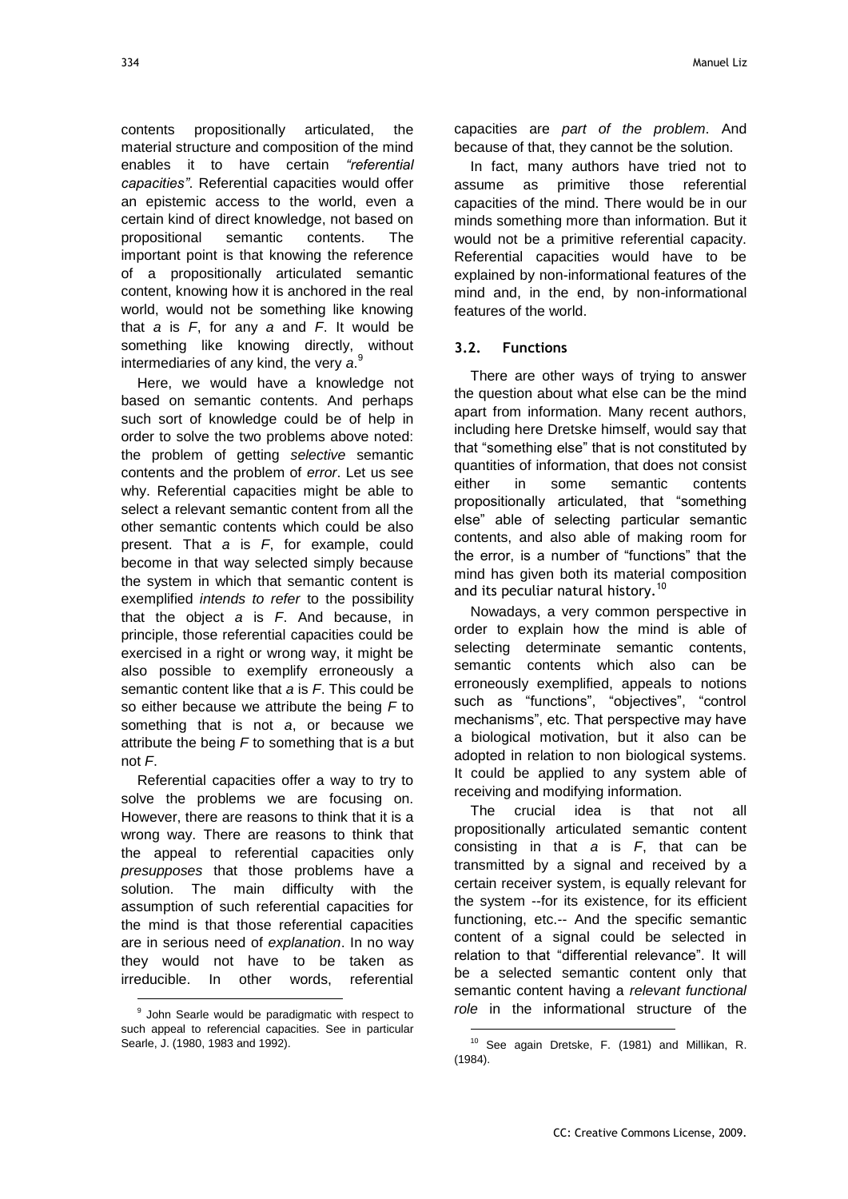contents propositionally articulated, the material structure and composition of the mind enables it to have certain *"referential capacities"*. Referential capacities would offer an epistemic access to the world, even a certain kind of direct knowledge, not based on propositional semantic contents. The important point is that knowing the reference of a propositionally articulated semantic content, knowing how it is anchored in the real world, would not be something like knowing that *a* is *F*, for any *a* and *F*. It would be something like knowing directly, without intermediaries of any kind, the very *a*. 9

Here, we would have a knowledge not based on semantic contents. And perhaps such sort of knowledge could be of help in order to solve the two problems above noted: the problem of getting *selective* semantic contents and the problem of *error*. Let us see why. Referential capacities might be able to select a relevant semantic content from all the other semantic contents which could be also present. That *a* is *F*, for example, could become in that way selected simply because the system in which that semantic content is exemplified *intends to refer* to the possibility that the object *a* is *F*. And because, in principle, those referential capacities could be exercised in a right or wrong way, it might be also possible to exemplify erroneously a semantic content like that *a* is *F*. This could be so either because we attribute the being *F* to something that is not *a*, or because we attribute the being *F* to something that is *a* but not *F*.

Referential capacities offer a way to try to solve the problems we are focusing on. However, there are reasons to think that it is a wrong way. There are reasons to think that the appeal to referential capacities only *presupposes* that those problems have a solution. The main difficulty with the assumption of such referential capacities for the mind is that those referential capacities are in serious need of *explanation*. In no way they would not have to be taken as irreducible. In other words, referential

l

capacities are *part of the problem*. And because of that, they cannot be the solution.

In fact, many authors have tried not to assume as primitive those referential capacities of the mind. There would be in our minds something more than information. But it would not be a primitive referential capacity. Referential capacities would have to be explained by non-informational features of the mind and, in the end, by non-informational features of the world.

#### **3.2. Functions**

There are other ways of trying to answer the question about what else can be the mind apart from information. Many recent authors, including here Dretske himself, would say that that "something else" that is not constituted by quantities of information, that does not consist either in some semantic contents propositionally articulated, that "something else" able of selecting particular semantic contents, and also able of making room for the error, is a number of "functions" that the mind has given both its material composition and its peculiar natural history.<sup>10</sup>

Nowadays, a very common perspective in order to explain how the mind is able of selecting determinate semantic contents, semantic contents which also can be erroneously exemplified, appeals to notions such as "functions", "objectives", "control mechanisms", etc. That perspective may have a biological motivation, but it also can be adopted in relation to non biological systems. It could be applied to any system able of receiving and modifying information.

The crucial idea is that not all propositionally articulated semantic content consisting in that *a* is *F*, that can be transmitted by a signal and received by a certain receiver system, is equally relevant for the system --for its existence, for its efficient functioning, etc.-- And the specific semantic content of a signal could be selected in relation to that "differential relevance". It will be a selected semantic content only that semantic content having a *relevant functional role* in the informational structure of the

-

<sup>&</sup>lt;sup>9</sup> John Searle would be paradigmatic with respect to such appeal to referencial capacities. See in particular Searle, J. (1980, 1983 and 1992).

<sup>&</sup>lt;sup>10</sup> See again Dretske, F. (1981) and Millikan, R. (1984).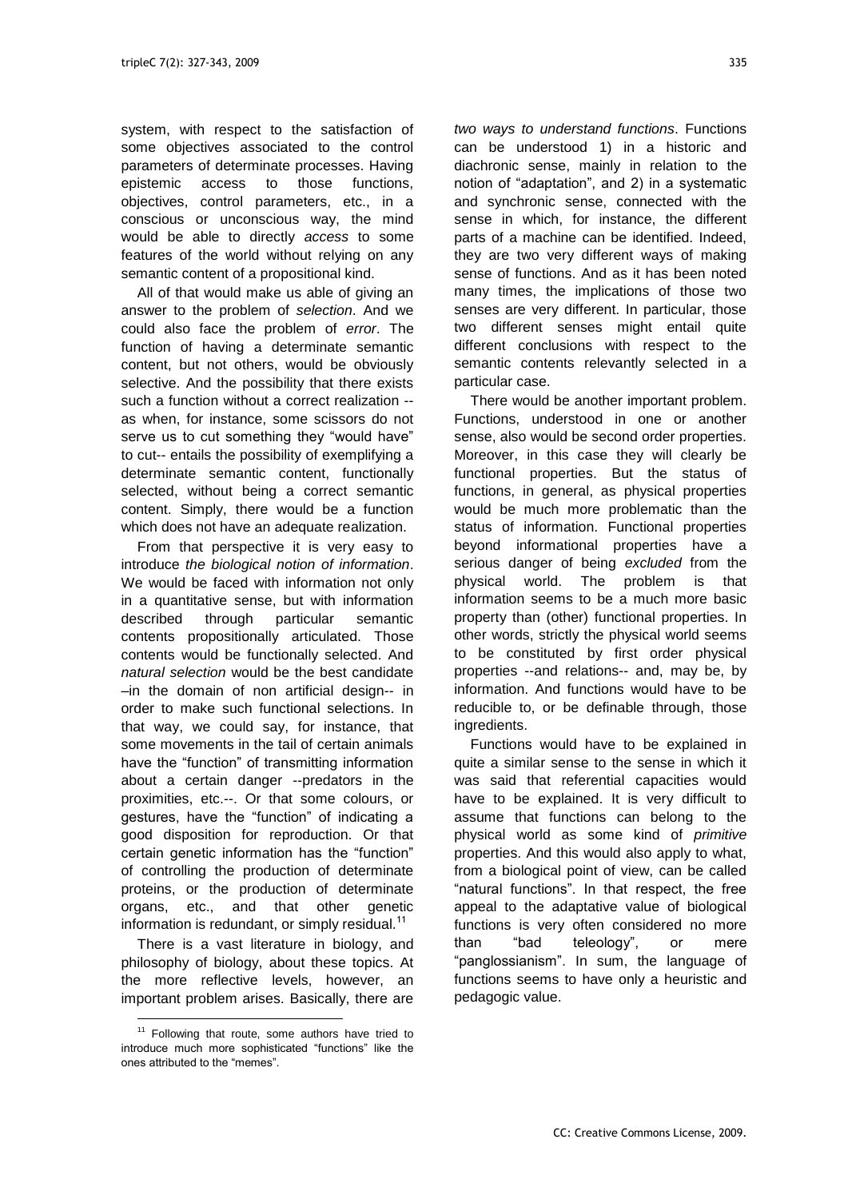system, with respect to the satisfaction of some objectives associated to the control parameters of determinate processes. Having epistemic access to those functions, objectives, control parameters, etc., in a conscious or unconscious way, the mind would be able to directly *access* to some features of the world without relying on any semantic content of a propositional kind.

All of that would make us able of giving an answer to the problem of *selection*. And we could also face the problem of *error*. The function of having a determinate semantic content, but not others, would be obviously selective. And the possibility that there exists such a function without a correct realization - as when, for instance, some scissors do not serve us to cut something they "would have" to cut-- entails the possibility of exemplifying a determinate semantic content, functionally selected, without being a correct semantic content. Simply, there would be a function which does not have an adequate realization.

From that perspective it is very easy to introduce *the biological notion of information*. We would be faced with information not only in a quantitative sense, but with information described through particular semantic contents propositionally articulated. Those contents would be functionally selected. And *natural selection* would be the best candidate –in the domain of non artificial design-- in order to make such functional selections. In that way, we could say, for instance, that some movements in the tail of certain animals have the "function" of transmitting information about a certain danger --predators in the proximities, etc.--. Or that some colours, or gestures, have the "function" of indicating a good disposition for reproduction. Or that certain genetic information has the "function" of controlling the production of determinate proteins, or the production of determinate organs, etc., and that other genetic information is redundant, or simply residual. $11$ 

There is a vast literature in biology, and philosophy of biology, about these topics. At the more reflective levels, however, an important problem arises. Basically, there are

l

*two ways to understand functions*. Functions can be understood 1) in a historic and diachronic sense, mainly in relation to the notion of "adaptation", and 2) in a systematic and synchronic sense, connected with the sense in which, for instance, the different parts of a machine can be identified. Indeed, they are two very different ways of making sense of functions. And as it has been noted many times, the implications of those two senses are very different. In particular, those two different senses might entail quite different conclusions with respect to the semantic contents relevantly selected in a particular case.

There would be another important problem. Functions, understood in one or another sense, also would be second order properties. Moreover, in this case they will clearly be functional properties. But the status of functions, in general, as physical properties would be much more problematic than the status of information. Functional properties beyond informational properties have a serious danger of being *excluded* from the physical world. The problem is that information seems to be a much more basic property than (other) functional properties. In other words, strictly the physical world seems to be constituted by first order physical properties --and relations-- and, may be, by information. And functions would have to be reducible to, or be definable through, those ingredients.

Functions would have to be explained in quite a similar sense to the sense in which it was said that referential capacities would have to be explained. It is very difficult to assume that functions can belong to the physical world as some kind of *primitive* properties. And this would also apply to what, from a biological point of view, can be called "natural functions". In that respect, the free appeal to the adaptative value of biological functions is very often considered no more than "bad teleology", or mere "panglossianism". In sum, the language of functions seems to have only a heuristic and pedagogic value.

<sup>&</sup>lt;sup>11</sup> Following that route, some authors have tried to introduce much more sophisticated "functions" like the ones attributed to the "memes".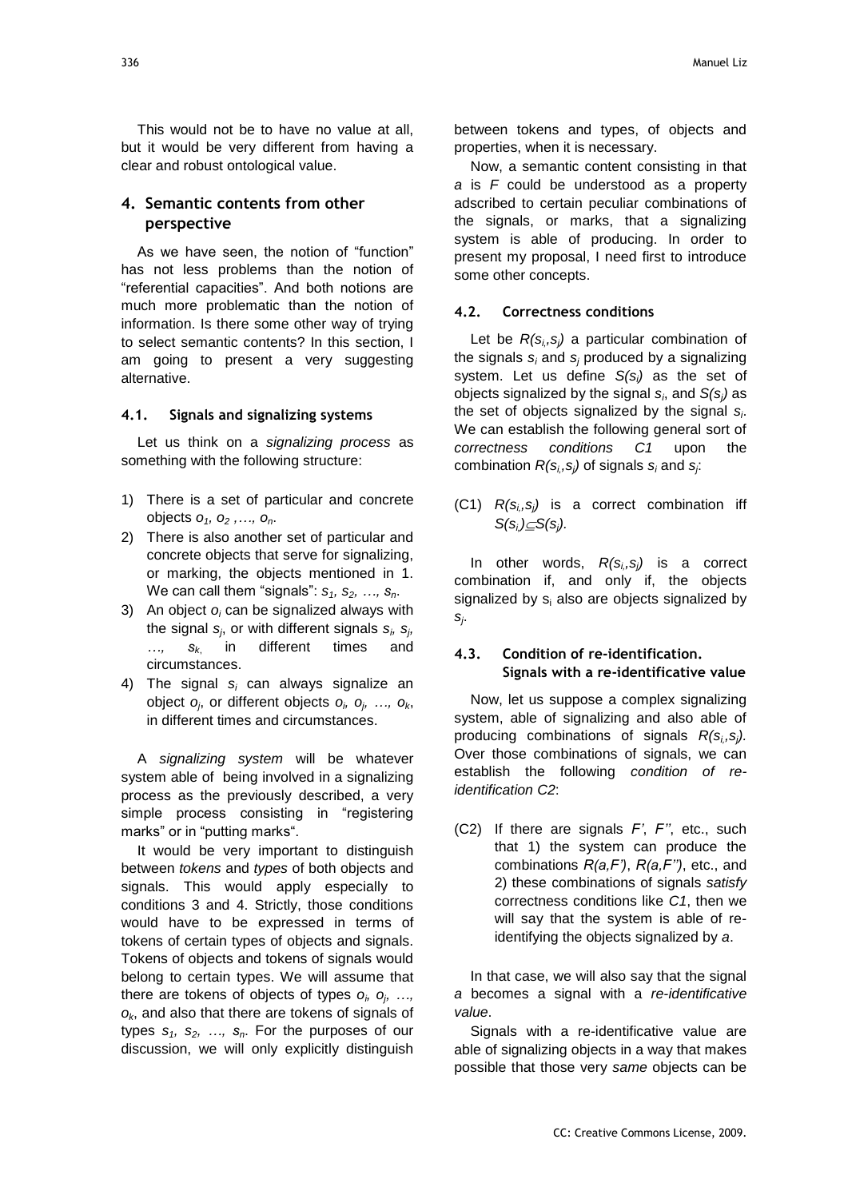This would not be to have no value at all, but it would be very different from having a clear and robust ontological value.

### **4. Semantic contents from other perspective**

As we have seen, the notion of "function" has not less problems than the notion of ―referential capacities‖. And both notions are much more problematic than the notion of information. Is there some other way of trying to select semantic contents? In this section, I am going to present a very suggesting alternative.

#### **4.1. Signals and signalizing systems**

Let us think on a *signalizing process* as something with the following structure:

- 1) There is a set of particular and concrete objects *o1, o<sup>2</sup> ,…, on*.
- 2) There is also another set of particular and concrete objects that serve for signalizing, or marking, the objects mentioned in 1. We can call them "signals":  $s_1$ ,  $s_2$ , ...,  $s_n$ .
- 3) An object *o<sup>i</sup>* can be signalized always with the signal *s<sup>j</sup>* , or with different signals *s<sup>i</sup> , s<sup>j</sup> , …, s<sup>k</sup>*, in different times and circumstances.
- 4) The signal *s<sup>i</sup>* can always signalize an object *o<sup>j</sup>* , or different objects *o<sup>i</sup> , o<sup>j</sup> , …, ok*, in different times and circumstances.

A *signalizing system* will be whatever system able of being involved in a signalizing process as the previously described, a very simple process consisting in "registering marks" or in "putting marks".

It would be very important to distinguish between *tokens* and *types* of both objects and signals. This would apply especially to conditions 3 and 4. Strictly, those conditions would have to be expressed in terms of tokens of certain types of objects and signals. Tokens of objects and tokens of signals would belong to certain types. We will assume that there are tokens of objects of types *o<sup>i</sup> , o<sup>j</sup> , …, ok*, and also that there are tokens of signals of types *s1, s2, …, sn*. For the purposes of our discussion, we will only explicitly distinguish

between tokens and types, of objects and properties, when it is necessary.

Now, a semantic content consisting in that *a* is *F* could be understood as a property adscribed to certain peculiar combinations of the signals, or marks, that a signalizing system is able of producing. In order to present my proposal, I need first to introduce some other concepts.

#### **4.2. Correctness conditions**

Let be *R(si,,sj)* a particular combination of the signals *s<sup>i</sup>* and *s<sup>j</sup>* produced by a signalizing system. Let us define *S(si)* as the set of objects signalized by the signal *s<sup>i</sup>* , and *S(sj)* as the set of objects signalized by the signal *s<sup>i</sup>* . We can establish the following general sort of *correctness conditions C1* upon the combination *R(si,,sj)* of signals *s<sup>i</sup>* and *s<sup>j</sup>* :

(C1) *R(si,,sj)* is a correct combination iff  $S(s_i) \subseteq S(s_i)$ .

In other words,  $R(s_i,s_i)$  is a correct combination if, and only if, the objects signalized by  $s_i$  also are objects signalized by *sj* .

#### **4.3. Condition of re-identification. Signals with a re-identificative value**

Now, let us suppose a complex signalizing system, able of signalizing and also able of producing combinations of signals *R(si,,sj).*  Over those combinations of signals, we can establish the following *condition of reidentification C2*:

(C2) If there are signals *F'*, *F''*, etc., such that 1) the system can produce the combinations *R(a,F')*, *R(a,F'')*, etc., and 2) these combinations of signals *satisfy* correctness conditions like *C1*, then we will say that the system is able of reidentifying the objects signalized by *a*.

In that case, we will also say that the signal *a* becomes a signal with a *re-identificative value*.

Signals with a re-identificative value are able of signalizing objects in a way that makes possible that those very *same* objects can be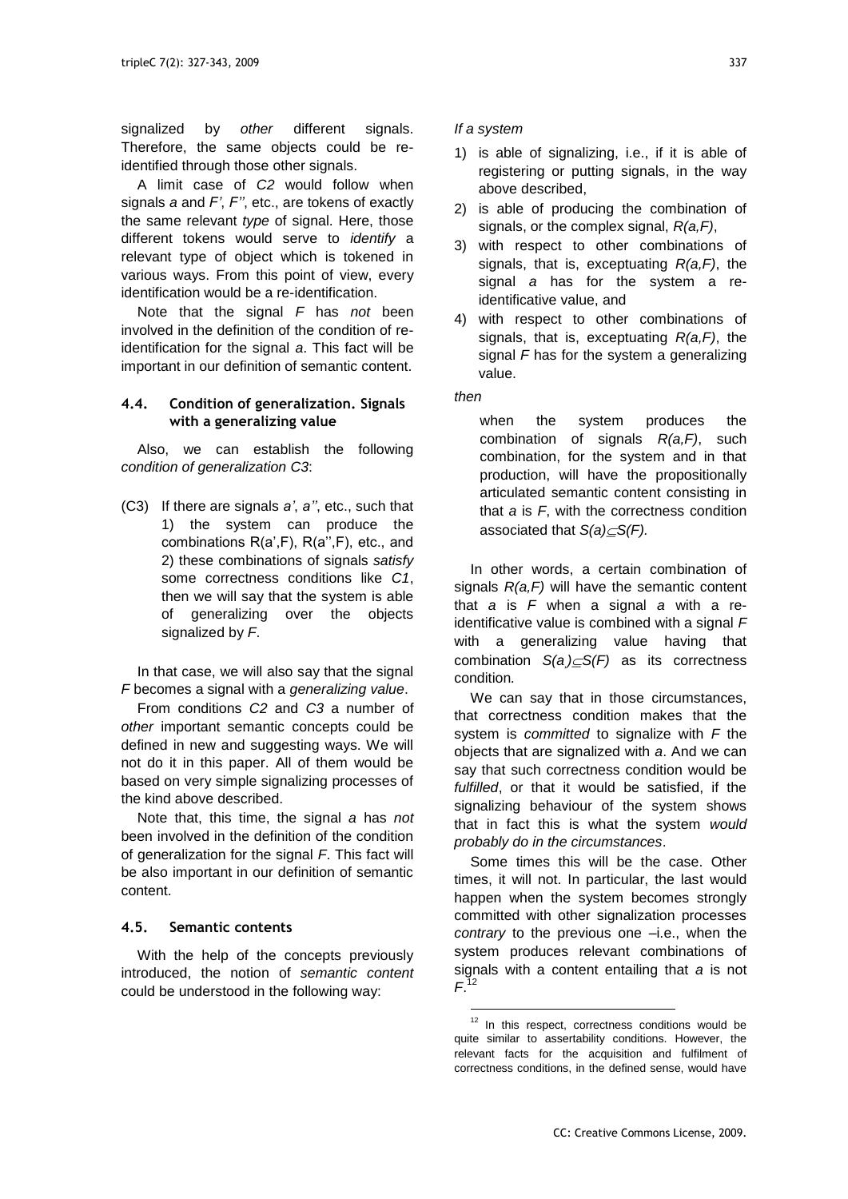signalized by *other* different signals. Therefore, the same objects could be reidentified through those other signals.

A limit case of *C2* would follow when signals *a* and *F'*, *F''*, etc., are tokens of exactly the same relevant *type* of signal. Here, those different tokens would serve to *identify* a relevant type of object which is tokened in various ways. From this point of view, every identification would be a re-identification.

Note that the signal *F* has *not* been involved in the definition of the condition of reidentification for the signal *a*. This fact will be important in our definition of semantic content.

#### **4.4. Condition of generalization. Signals with a generalizing value**

Also, we can establish the following *condition of generalization C3*:

(C3) If there are signals *a'*, *a''*, etc., such that 1) the system can produce the combinations R(a',F), R(a'',F), etc., and 2) these combinations of signals *satisfy* some correctness conditions like *C1*, then we will say that the system is able of generalizing over the objects signalized by *F*.

In that case, we will also say that the signal *F* becomes a signal with a *generalizing value*.

From conditions *C2* and *C3* a number of *other* important semantic concepts could be defined in new and suggesting ways. We will not do it in this paper. All of them would be based on very simple signalizing processes of the kind above described.

Note that, this time, the signal *a* has *not* been involved in the definition of the condition of generalization for the signal *F*. This fact will be also important in our definition of semantic content.

#### **4.5. Semantic contents**

With the help of the concepts previously introduced, the notion of *semantic content* could be understood in the following way:

#### *If a system*

- 1) is able of signalizing, i.e., if it is able of registering or putting signals, in the way above described,
- 2) is able of producing the combination of signals, or the complex signal, *R(a,F)*,
- 3) with respect to other combinations of signals, that is, exceptuating *R(a,F)*, the signal *a* has for the system a reidentificative value, and
- 4) with respect to other combinations of signals, that is, exceptuating *R(a,F)*, the signal *F* has for the system a generalizing value.

## *then*

 $\overline{a}$ 

when the system produces the combination of signals *R(a,F)*, such combination, for the system and in that production, will have the propositionally articulated semantic content consisting in that *a* is *F*, with the correctness condition associated that *S(a)S(F).*

In other words, a certain combination of signals *R(a,F)* will have the semantic content that *a* is *F* when a signal *a* with a reidentificative value is combined with a signal *F* with a generalizing value having that combination *S(a,)S(F)* as its correctness condition*.*

We can say that in those circumstances. that correctness condition makes that the system is *committed* to signalize with *F* the objects that are signalized with *a*. And we can say that such correctness condition would be *fulfilled*, or that it would be satisfied, if the signalizing behaviour of the system shows that in fact this is what the system *would probably do in the circumstances*.

Some times this will be the case. Other times, it will not. In particular, the last would happen when the system becomes strongly committed with other signalization processes *contrary* to the previous one –i.e., when the system produces relevant combinations of signals with a content entailing that *a* is not *F*. 12

<sup>&</sup>lt;sup>12</sup> In this respect, correctness conditions would be quite similar to assertability conditions. However, the relevant facts for the acquisition and fulfilment of correctness conditions, in the defined sense, would have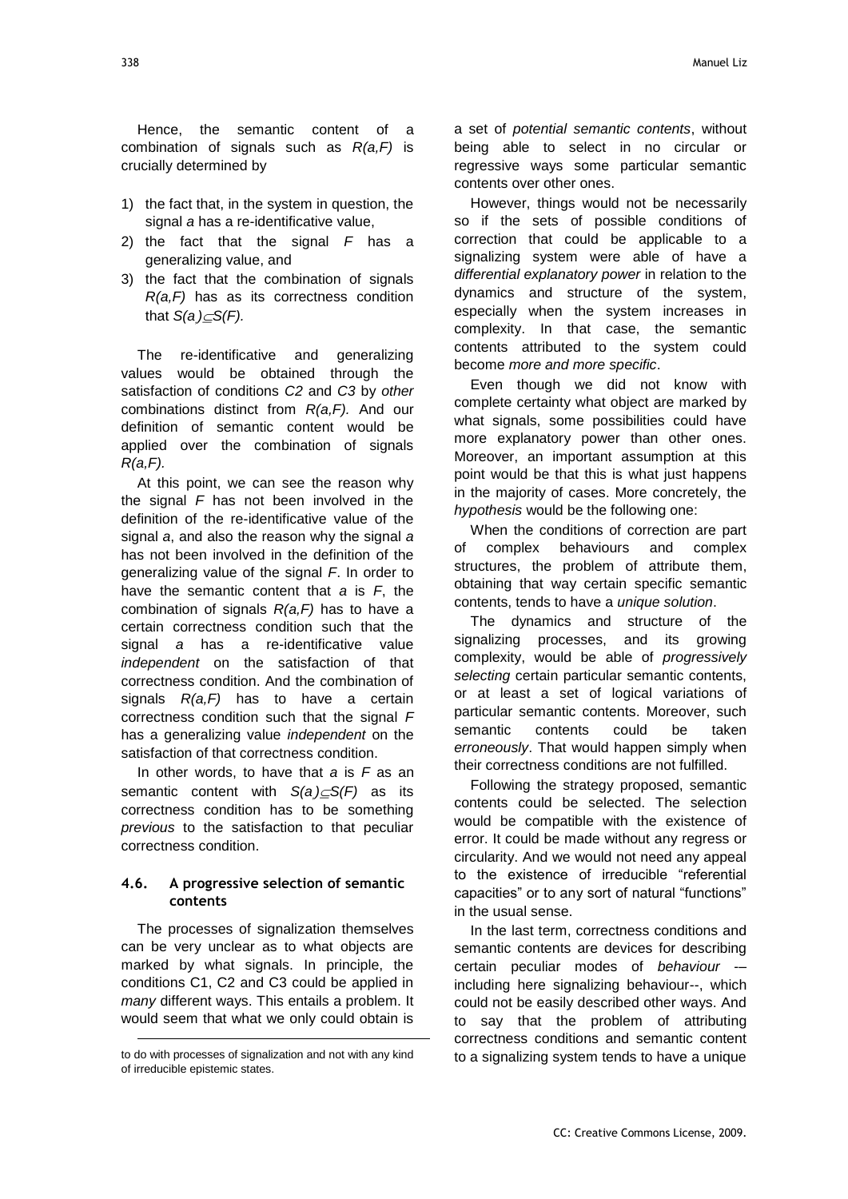Hence, the semantic content of a combination of signals such as *R(a,F)* is crucially determined by

- 1) the fact that, in the system in question, the signal *a* has a re-identificative value,
- 2) the fact that the signal *F* has a generalizing value, and
- 3) the fact that the combination of signals *R(a,F)* has as its correctness condition that  $S(a) \subseteq S(F)$ .

The re-identificative and generalizing values would be obtained through the satisfaction of conditions *C2* and *C3* by *other* combinations distinct from *R(a,F).* And our definition of semantic content would be applied over the combination of signals *R(a,F).*

At this point, we can see the reason why the signal *F* has not been involved in the definition of the re-identificative value of the signal *a*, and also the reason why the signal *a* has not been involved in the definition of the generalizing value of the signal *F*. In order to have the semantic content that *a* is *F*, the combination of signals *R(a,F)* has to have a certain correctness condition such that the signal *a* has a re-identificative value *independent* on the satisfaction of that correctness condition. And the combination of signals *R(a,F)* has to have a certain correctness condition such that the signal *F* has a generalizing value *independent* on the satisfaction of that correctness condition.

In other words, to have that *a* is *F* as an semantic content with *S(a,)S(F)* as its correctness condition has to be something *previous* to the satisfaction to that peculiar correctness condition.

#### **4.6. A progressive selection of semantic contents**

The processes of signalization themselves can be very unclear as to what objects are marked by what signals. In principle, the conditions C1, C2 and C3 could be applied in *many* different ways. This entails a problem. It would seem that what we only could obtain is

l

a set of *potential semantic contents*, without being able to select in no circular or regressive ways some particular semantic contents over other ones.

However, things would not be necessarily so if the sets of possible conditions of correction that could be applicable to a signalizing system were able of have a *differential explanatory power* in relation to the dynamics and structure of the system, especially when the system increases in complexity. In that case, the semantic contents attributed to the system could become *more and more specific*.

Even though we did not know with complete certainty what object are marked by what signals, some possibilities could have more explanatory power than other ones. Moreover, an important assumption at this point would be that this is what just happens in the majority of cases. More concretely, the *hypothesis* would be the following one:

When the conditions of correction are part of complex behaviours and complex structures, the problem of attribute them, obtaining that way certain specific semantic contents, tends to have a *unique solution*.

The dynamics and structure of the signalizing processes, and its growing complexity, would be able of *progressively selecting* certain particular semantic contents, or at least a set of logical variations of particular semantic contents. Moreover, such semantic contents could be taken *erroneously*. That would happen simply when their correctness conditions are not fulfilled.

Following the strategy proposed, semantic contents could be selected. The selection would be compatible with the existence of error. It could be made without any regress or circularity. And we would not need any appeal to the existence of irreducible "referential capacities" or to any sort of natural "functions" in the usual sense.

In the last term, correctness conditions and semantic contents are devices for describing certain peculiar modes of *behaviour* -– including here signalizing behaviour--, which could not be easily described other ways. And to say that the problem of attributing correctness conditions and semantic content to a signalizing system tends to have a unique

to do with processes of signalization and not with any kind of irreducible epistemic states.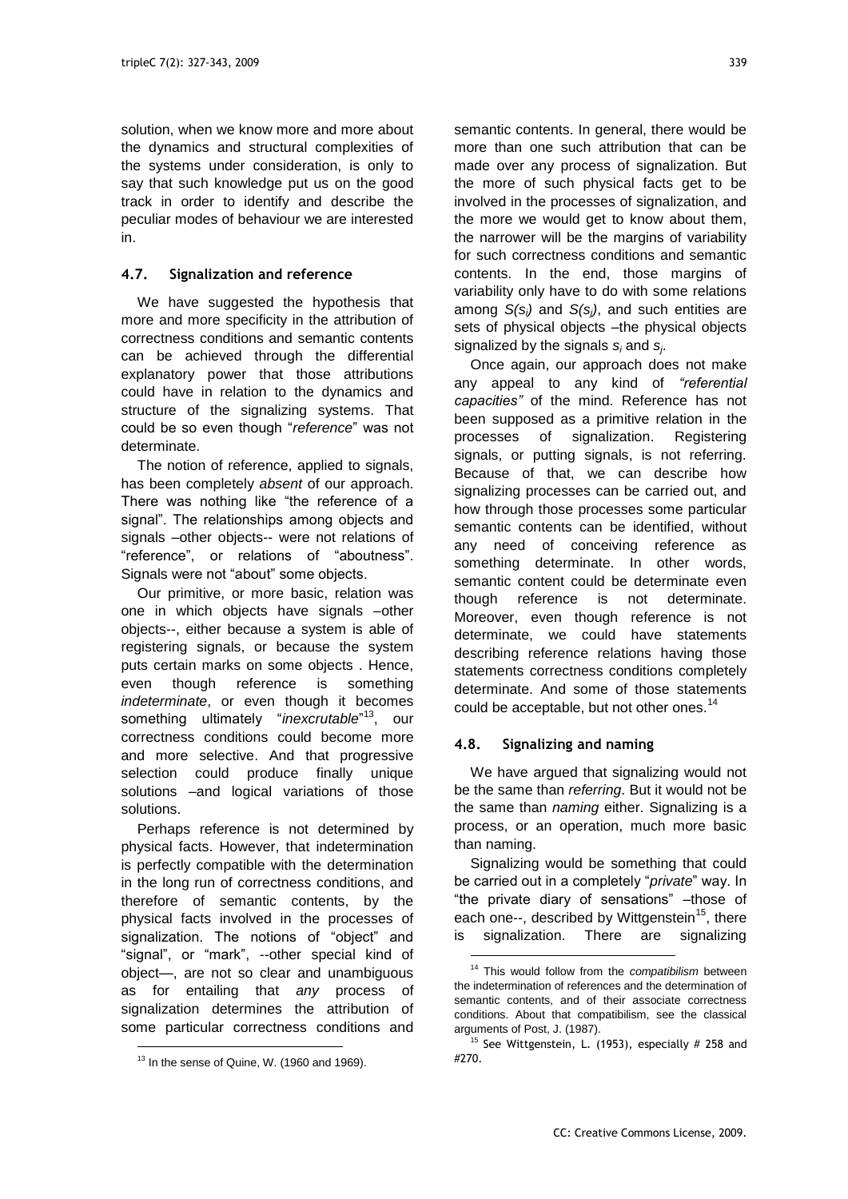solution, when we know more and more about the dynamics and structural complexities of the systems under consideration, is only to say that such knowledge put us on the good track in order to identify and describe the peculiar modes of behaviour we are interested in.

#### **4.7. Signalization and reference**

We have suggested the hypothesis that more and more specificity in the attribution of correctness conditions and semantic contents can be achieved through the differential explanatory power that those attributions could have in relation to the dynamics and structure of the signalizing systems. That could be so even though "reference" was not determinate.

The notion of reference, applied to signals, has been completely *absent* of our approach. There was nothing like "the reference of a signal". The relationships among objects and signals –other objects-- were not relations of "reference", or relations of "aboutness". Signals were not "about" some objects.

Our primitive, or more basic, relation was one in which objects have signals –other objects--, either because a system is able of registering signals, or because the system puts certain marks on some objects . Hence, even though reference is something *indeterminate*, or even though it becomes something ultimately "*inexcrutable*"<sup>13</sup>, our correctness conditions could become more and more selective. And that progressive selection could produce finally unique solutions –and logical variations of those solutions.

Perhaps reference is not determined by physical facts. However, that indetermination is perfectly compatible with the determination in the long run of correctness conditions, and therefore of semantic contents, by the physical facts involved in the processes of signalization. The notions of "object" and "signal", or "mark", --other special kind of object—, are not so clear and unambiguous as for entailing that *any* process of signalization determines the attribution of some particular correctness conditions and

l

semantic contents. In general, there would be more than one such attribution that can be made over any process of signalization. But the more of such physical facts get to be involved in the processes of signalization, and the more we would get to know about them, the narrower will be the margins of variability for such correctness conditions and semantic contents. In the end, those margins of variability only have to do with some relations among *S(si)* and *S(sj)*, and such entities are sets of physical objects –the physical objects signalized by the signals *s<sup>i</sup>* and *s<sup>j</sup>* .

Once again, our approach does not make any appeal to any kind of *"referential capacities"* of the mind. Reference has not been supposed as a primitive relation in the processes of signalization. Registering signals, or putting signals, is not referring. Because of that, we can describe how signalizing processes can be carried out, and how through those processes some particular semantic contents can be identified, without any need of conceiving reference as something determinate. In other words, semantic content could be determinate even though reference is not determinate. Moreover, even though reference is not determinate, we could have statements describing reference relations having those statements correctness conditions completely determinate. And some of those statements could be acceptable, but not other ones.<sup>14</sup>

#### **4.8. Signalizing and naming**

1

We have argued that signalizing would not be the same than *referring*. But it would not be the same than *naming* either. Signalizing is a process, or an operation, much more basic than naming.

Signalizing would be something that could be carried out in a completely "*private*" way. In "the private diary of sensations" - those of each one--, described by Wittgenstein<sup>15</sup>, there is signalization. There are signalizing

<sup>&</sup>lt;sup>13</sup> In the sense of Quine, W. (1960 and 1969).

<sup>14</sup> This would follow from the *compatibilism* between the indetermination of references and the determination of semantic contents, and of their associate correctness conditions. About that compatibilism, see the classical arguments of Post, J. (1987).

<sup>&</sup>lt;sup>15</sup> See Wittgenstein, L. (1953), especially  $#$  258 and #270.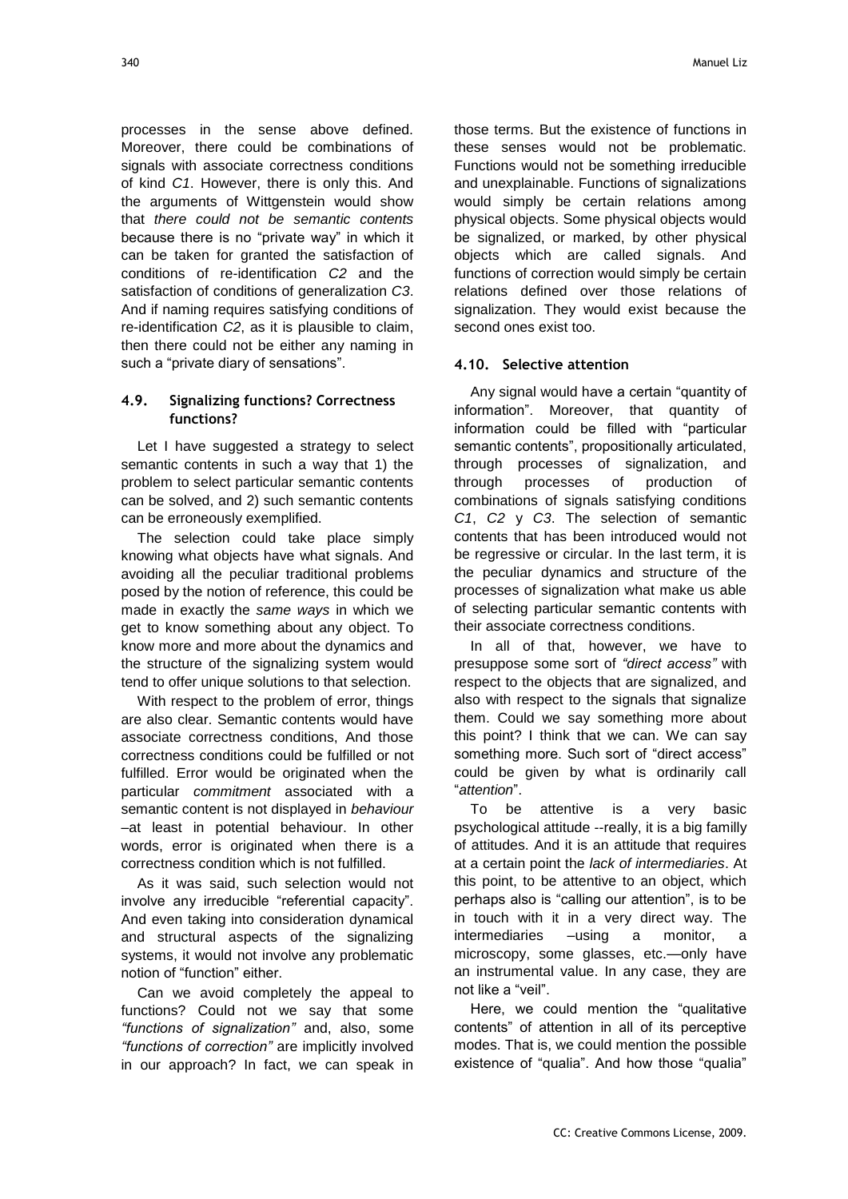processes in the sense above defined. Moreover, there could be combinations of signals with associate correctness conditions of kind *C1*. However, there is only this. And the arguments of Wittgenstein would show that *there could not be semantic contents* because there is no "private way" in which it can be taken for granted the satisfaction of conditions of re-identification *C2* and the satisfaction of conditions of generalization *C3*. And if naming requires satisfying conditions of re-identification *C2*, as it is plausible to claim, then there could not be either any naming in such a "private diary of sensations".

## **4.9. Signalizing functions? Correctness functions?**

Let I have suggested a strategy to select semantic contents in such a way that 1) the problem to select particular semantic contents can be solved, and 2) such semantic contents can be erroneously exemplified.

The selection could take place simply knowing what objects have what signals. And avoiding all the peculiar traditional problems posed by the notion of reference, this could be made in exactly the *same ways* in which we get to know something about any object. To know more and more about the dynamics and the structure of the signalizing system would tend to offer unique solutions to that selection.

With respect to the problem of error, things are also clear. Semantic contents would have associate correctness conditions, And those correctness conditions could be fulfilled or not fulfilled. Error would be originated when the particular *commitment* associated with a semantic content is not displayed in *behaviour* –at least in potential behaviour. In other words, error is originated when there is a correctness condition which is not fulfilled.

As it was said, such selection would not involve any irreducible "referential capacity". And even taking into consideration dynamical and structural aspects of the signalizing systems, it would not involve any problematic notion of "function" either.

Can we avoid completely the appeal to functions? Could not we say that some *"functions of signalization"* and, also, some *"functions of correction"* are implicitly involved in our approach? In fact, we can speak in those terms. But the existence of functions in these senses would not be problematic. Functions would not be something irreducible and unexplainable. Functions of signalizations would simply be certain relations among physical objects. Some physical objects would be signalized, or marked, by other physical objects which are called signals. And functions of correction would simply be certain relations defined over those relations of signalization. They would exist because the second ones exist too.

## **4.10. Selective attention**

Any signal would have a certain "quantity of information". Moreover, that quantity of information could be filled with "particular semantic contents", propositionally articulated, through processes of signalization, and through processes of production of combinations of signals satisfying conditions *C1*, *C2* y *C3*. The selection of semantic contents that has been introduced would not be regressive or circular. In the last term, it is the peculiar dynamics and structure of the processes of signalization what make us able of selecting particular semantic contents with their associate correctness conditions.

In all of that, however, we have to presuppose some sort of *"direct access"* with respect to the objects that are signalized, and also with respect to the signals that signalize them. Could we say something more about this point? I think that we can. We can say something more. Such sort of "direct access" could be given by what is ordinarily call ―*attention*‖.

To be attentive is a very basic psychological attitude --really, it is a big familly of attitudes. And it is an attitude that requires at a certain point the *lack of intermediaries*. At this point, to be attentive to an object, which perhaps also is "calling our attention", is to be in touch with it in a very direct way. The intermediaries –using a monitor, a microscopy, some glasses, etc.—only have an instrumental value. In any case, they are not like a "veil".

Here, we could mention the "qualitative" contents‖ of attention in all of its perceptive modes. That is, we could mention the possible existence of "qualia". And how those "qualia"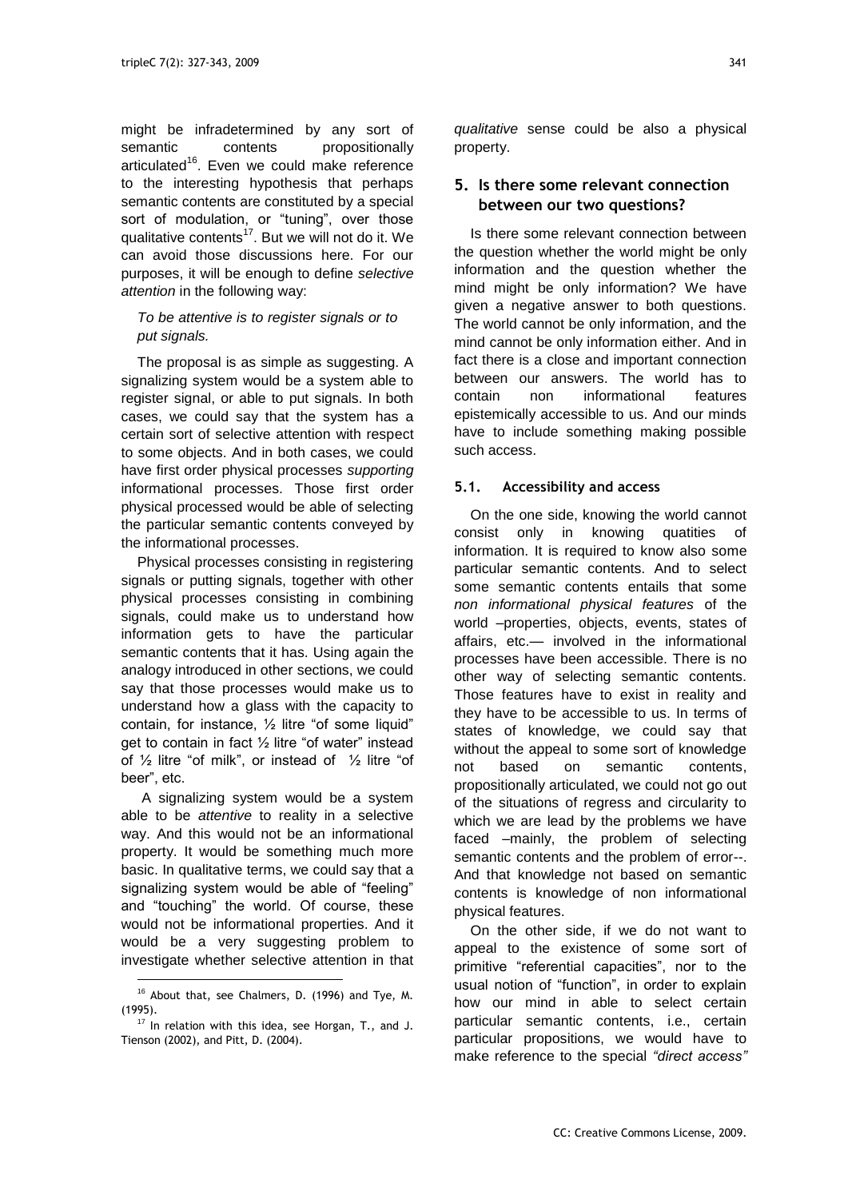might be infradetermined by any sort of semantic contents propositionally articulated<sup>16</sup>. Even we could make reference to the interesting hypothesis that perhaps semantic contents are constituted by a special sort of modulation, or "tuning", over those qualitative contents<sup>17</sup>. But we will not do it. We can avoid those discussions here. For our purposes, it will be enough to define *selective attention* in the following way:

#### *To be attentive is to register signals or to put signals.*

The proposal is as simple as suggesting. A signalizing system would be a system able to register signal, or able to put signals. In both cases, we could say that the system has a certain sort of selective attention with respect to some objects. And in both cases, we could have first order physical processes *supporting* informational processes. Those first order physical processed would be able of selecting the particular semantic contents conveyed by the informational processes.

Physical processes consisting in registering signals or putting signals, together with other physical processes consisting in combining signals, could make us to understand how information gets to have the particular semantic contents that it has. Using again the analogy introduced in other sections, we could say that those processes would make us to understand how a glass with the capacity to contain, for instance,  $\frac{1}{2}$  litre "of some liquid" get to contain in fact  $\frac{1}{2}$  litre "of water" instead of  $\frac{1}{2}$  litre "of milk", or instead of  $\frac{1}{2}$  litre "of beer", etc.

A signalizing system would be a system able to be *attentive* to reality in a selective way. And this would not be an informational property. It would be something much more basic. In qualitative terms, we could say that a signalizing system would be able of "feeling" and "touching" the world. Of course, these would not be informational properties. And it would be a very suggesting problem to investigate whether selective attention in that

l

*qualitative* sense could be also a physical property.

## **5. Is there some relevant connection between our two questions?**

Is there some relevant connection between the question whether the world might be only information and the question whether the mind might be only information? We have given a negative answer to both questions. The world cannot be only information, and the mind cannot be only information either. And in fact there is a close and important connection between our answers. The world has to contain non informational features epistemically accessible to us. And our minds have to include something making possible such access.

#### **5.1. Accessibility and access**

On the one side, knowing the world cannot consist only in knowing quatities of information. It is required to know also some particular semantic contents. And to select some semantic contents entails that some *non informational physical features* of the world –properties, objects, events, states of affairs, etc.— involved in the informational processes have been accessible. There is no other way of selecting semantic contents. Those features have to exist in reality and they have to be accessible to us. In terms of states of knowledge, we could say that without the appeal to some sort of knowledge not based on semantic contents, propositionally articulated, we could not go out of the situations of regress and circularity to which we are lead by the problems we have faced –mainly, the problem of selecting semantic contents and the problem of error--. And that knowledge not based on semantic contents is knowledge of non informational physical features.

On the other side, if we do not want to appeal to the existence of some sort of primitive "referential capacities", nor to the usual notion of "function", in order to explain how our mind in able to select certain particular semantic contents, i.e., certain particular propositions, we would have to make reference to the special *"direct access"* 

<sup>16</sup> About that, see Chalmers, D. (1996) and Tye, M. (1995).

<sup>&</sup>lt;sup>17</sup> In relation with this idea, see Horgan, T., and J. Tienson (2002), and Pitt, D. (2004).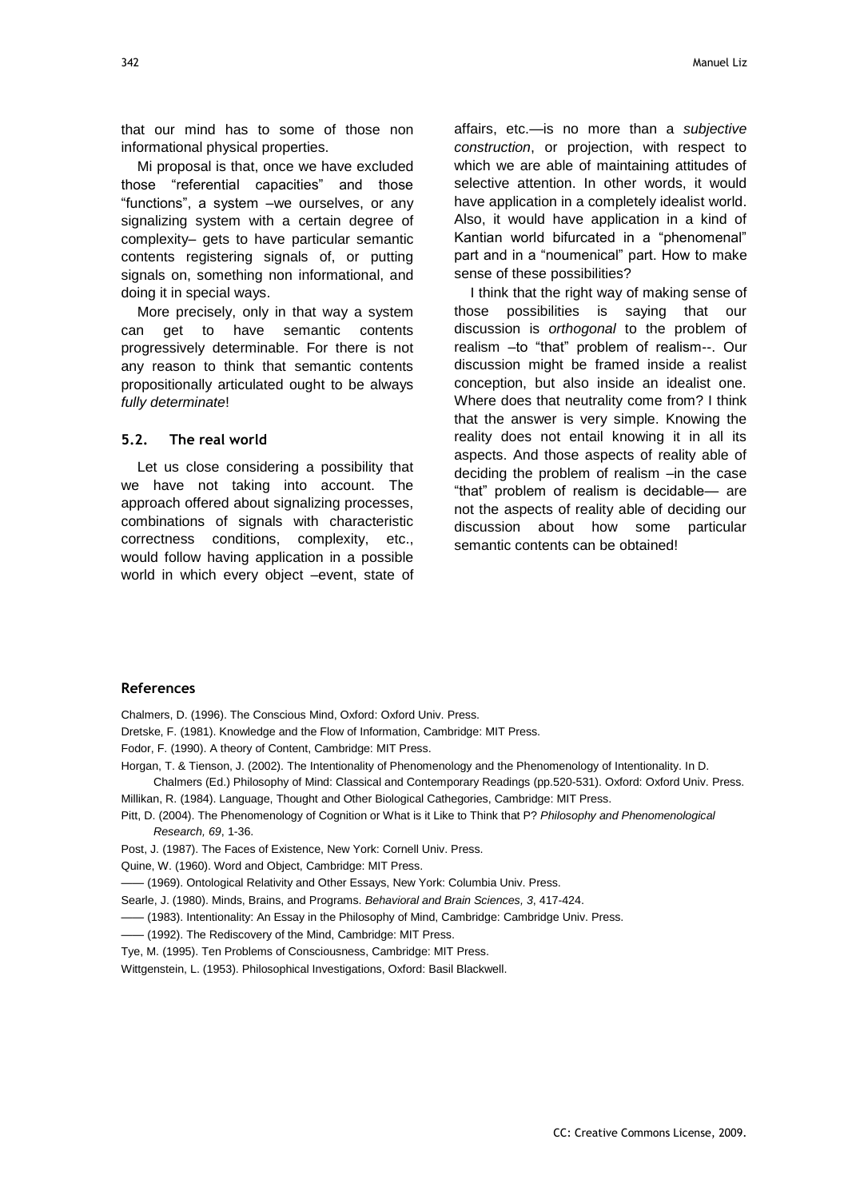that our mind has to some of those non informational physical properties.

Mi proposal is that, once we have excluded those "referential capacities" and those ―functions‖, a system –we ourselves, or any signalizing system with a certain degree of complexity– gets to have particular semantic contents registering signals of, or putting signals on, something non informational, and doing it in special ways.

More precisely, only in that way a system can get to have semantic contents progressively determinable. For there is not any reason to think that semantic contents propositionally articulated ought to be always *fully determinate*!

#### **5.2. The real world**

Let us close considering a possibility that we have not taking into account. The approach offered about signalizing processes, combinations of signals with characteristic correctness conditions, complexity, etc., would follow having application in a possible world in which every object –event, state of

affairs, etc.—is no more than a *subjective construction*, or projection, with respect to which we are able of maintaining attitudes of selective attention. In other words, it would have application in a completely idealist world. Also, it would have application in a kind of Kantian world bifurcated in a "phenomenal" part and in a "noumenical" part. How to make sense of these possibilities?

I think that the right way of making sense of those possibilities is saying that our discussion is *orthogonal* to the problem of realism -to "that" problem of realism--. Our discussion might be framed inside a realist conception, but also inside an idealist one. Where does that neutrality come from? I think that the answer is very simple. Knowing the reality does not entail knowing it in all its aspects. And those aspects of reality able of deciding the problem of realism –in the case "that" problem of realism is decidable— are not the aspects of reality able of deciding our discussion about how some particular semantic contents can be obtained!

#### **References**

Chalmers, D. (1996). The Conscious Mind, Oxford: Oxford Univ. Press.

- Dretske, F. (1981). Knowledge and the Flow of Information, Cambridge: MIT Press.
- Fodor, F. (1990). A theory of Content, Cambridge: MIT Press.
- Horgan, T. & Tienson, J. (2002). The Intentionality of Phenomenology and the Phenomenology of Intentionality. In D.

Chalmers (Ed.) Philosophy of Mind: Classical and Contemporary Readings (pp.520-531). Oxford: Oxford Univ. Press. Millikan, R. (1984). Language, Thought and Other Biological Cathegories, Cambridge: MIT Press.

Pitt, D. (2004). The Phenomenology of Cognition or What is it Like to Think that P? *Philosophy and Phenomenological Research, 69*, 1-36.

Post, J. (1987). The Faces of Existence, New York: Cornell Univ. Press.

Quine, W. (1960). Word and Object, Cambridge: MIT Press.

—— (1969). Ontological Relativity and Other Essays, New York: Columbia Univ. Press.

Searle, J. (1980). Minds, Brains, and Programs. *Behavioral and Brain Sciences, 3*, 417-424.

- —— (1983). Intentionality: An Essay in the Philosophy of Mind, Cambridge: Cambridge Univ. Press.
- —— (1992). The Rediscovery of the Mind, Cambridge: MIT Press.
- Tye, M. (1995). Ten Problems of Consciousness, Cambridge: MIT Press.

Wittgenstein, L. (1953). Philosophical Investigations, Oxford: Basil Blackwell.